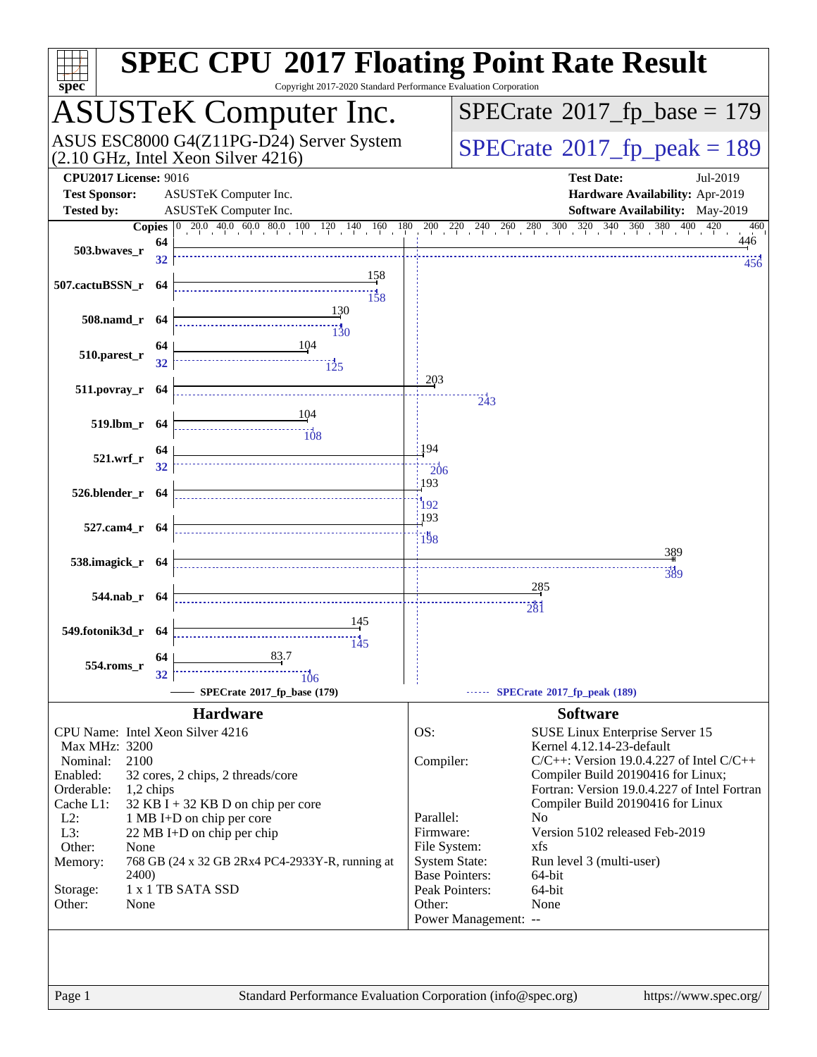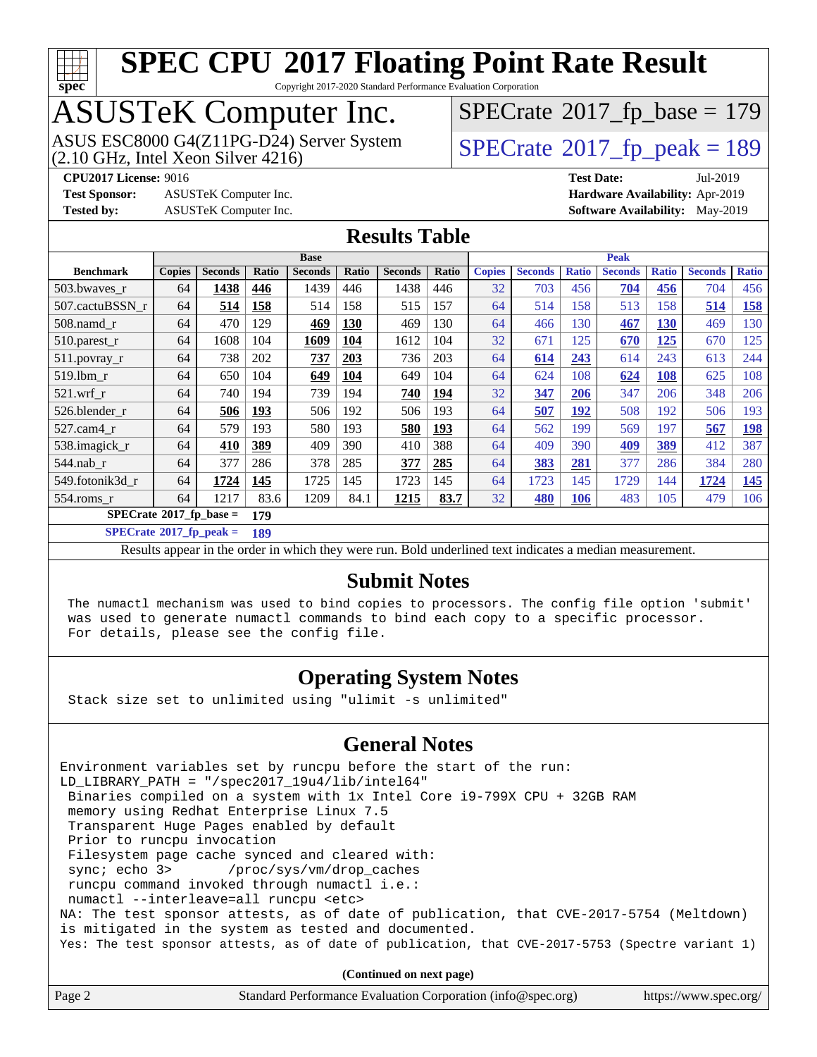

Copyright 2017-2020 Standard Performance Evaluation Corporation

# ASUSTeK Computer Inc.<br>ASUS ESC8000 G4(Z11PG-D24) Server System

 $(2.10$  GHz, Intel Xeon Silver  $4216$ )

 $SPECTate<sup>®</sup>2017<sub>fr</sub>peak = 189$  $SPECrate$ <sup>®</sup>[2017\\_fp\\_base =](http://www.spec.org/auto/cpu2017/Docs/result-fields.html#SPECrate2017fpbase) 179

**[Test Sponsor:](http://www.spec.org/auto/cpu2017/Docs/result-fields.html#TestSponsor)** ASUSTeK Computer Inc. **[Hardware Availability:](http://www.spec.org/auto/cpu2017/Docs/result-fields.html#HardwareAvailability)** Apr-2019 **[Tested by:](http://www.spec.org/auto/cpu2017/Docs/result-fields.html#Testedby)** ASUSTeK Computer Inc. **[Software Availability:](http://www.spec.org/auto/cpu2017/Docs/result-fields.html#SoftwareAvailability)** May-2019

**[CPU2017 License:](http://www.spec.org/auto/cpu2017/Docs/result-fields.html#CPU2017License)** 9016 **[Test Date:](http://www.spec.org/auto/cpu2017/Docs/result-fields.html#TestDate)** Jul-2019

**[Results Table](http://www.spec.org/auto/cpu2017/Docs/result-fields.html#ResultsTable)**

|                                         | <b>Base</b>   |                |       |                |       | <b>Peak</b>    |             |               |                |              |                |              |                |              |
|-----------------------------------------|---------------|----------------|-------|----------------|-------|----------------|-------------|---------------|----------------|--------------|----------------|--------------|----------------|--------------|
| <b>Benchmark</b>                        | <b>Copies</b> | <b>Seconds</b> | Ratio | <b>Seconds</b> | Ratio | <b>Seconds</b> | Ratio       | <b>Copies</b> | <b>Seconds</b> | <b>Ratio</b> | <b>Seconds</b> | <b>Ratio</b> | <b>Seconds</b> | <b>Ratio</b> |
| 503.bwaves_r                            | 64            | 1438           | 446   | 1439           | 446   | 1438           | 446         | 32            | 703            | 456          | 704            | 456          | 704            | 456          |
| 507.cactuBSSN r                         | 64            | 514            | 158   | 514            | 158   | 515            | 157         | 64            | 514            | 158          | 513            | 158          | 514            | <u>158</u>   |
| $508$ .namd $r$                         | 64            | 470            | 129   | 469            | 130   | 469            | 130         | 64            | 466            | 130          | 467            | <u> 130</u>  | 469            | 130          |
| $510.parest_r$                          | 64            | 1608           | 104   | 1609           | 104   | 1612           | 104         | 32            | 671            | 125          | 670            | 125          | 670            | 125          |
| 511.povray_r                            | 64            | 738            | 202   | 737            | 203   | 736            | 203         | 64            | 614            | 243          | 614            | 243          | 613            | 244          |
| 519.lbm r                               | 64            | 650            | 104   | 649            | 104   | 649            | 104         | 64            | 624            | 108          | 624            | 108          | 625            | 108          |
| $521.wrf_r$                             | 64            | 740            | 194   | 739            | 194   | 740            | <u> 194</u> | 32            | 347            | 206          | 347            | 206          | 348            | 206          |
| 526.blender r                           | 64            | 506            | 193   | 506            | 192   | 506            | 193         | 64            | 507            | 192          | 508            | 192          | 506            | 193          |
| 527.cam4_r                              | 64            | 579            | 193   | 580            | 193   | 580            | 193         | 64            | 562            | 199          | 569            | 197          | 567            | <u>198</u>   |
| 538.imagick_r                           | 64            | 410            | 389   | 409            | 390   | 410            | 388         | 64            | 409            | 390          | 409            | 389          | 412            | 387          |
| 544.nab r                               | 64            | 377            | 286   | 378            | 285   | 377            | 285         | 64            | 383            | 281          | 377            | 286          | 384            | 280          |
| 549.fotonik3d r                         | 64            | 1724           | 145   | 1725           | 145   | 1723           | 145         | 64            | 1723           | 145          | 1729           | 144          | 1724           | <b>145</b>   |
| $554$ .roms r                           | 64            | 1217           | 83.6  | 1209           | 84.1  | 1215           | 83.7        | 32            | 480            | 106          | 483            | 105          | 479            | 106          |
| $SPECrate^{\circ}2017$ fp base =<br>179 |               |                |       |                |       |                |             |               |                |              |                |              |                |              |

**[SPECrate](http://www.spec.org/auto/cpu2017/Docs/result-fields.html#SPECrate2017fppeak)[2017\\_fp\\_peak =](http://www.spec.org/auto/cpu2017/Docs/result-fields.html#SPECrate2017fppeak) 189**

Results appear in the [order in which they were run.](http://www.spec.org/auto/cpu2017/Docs/result-fields.html#RunOrder) Bold underlined text [indicates a median measurement.](http://www.spec.org/auto/cpu2017/Docs/result-fields.html#Median)

#### **[Submit Notes](http://www.spec.org/auto/cpu2017/Docs/result-fields.html#SubmitNotes)**

 The numactl mechanism was used to bind copies to processors. The config file option 'submit' was used to generate numactl commands to bind each copy to a specific processor. For details, please see the config file.

#### **[Operating System Notes](http://www.spec.org/auto/cpu2017/Docs/result-fields.html#OperatingSystemNotes)**

Stack size set to unlimited using "ulimit -s unlimited"

#### **[General Notes](http://www.spec.org/auto/cpu2017/Docs/result-fields.html#GeneralNotes)**

Environment variables set by runcpu before the start of the run: LD\_LIBRARY\_PATH = "/spec2017\_19u4/lib/intel64" Binaries compiled on a system with 1x Intel Core i9-799X CPU + 32GB RAM memory using Redhat Enterprise Linux 7.5 Transparent Huge Pages enabled by default Prior to runcpu invocation Filesystem page cache synced and cleared with: sync; echo 3> /proc/sys/vm/drop\_caches runcpu command invoked through numactl i.e.: numactl --interleave=all runcpu <etc> NA: The test sponsor attests, as of date of publication, that CVE-2017-5754 (Meltdown) is mitigated in the system as tested and documented. Yes: The test sponsor attests, as of date of publication, that CVE-2017-5753 (Spectre variant 1)

**(Continued on next page)**

| Page 2 | Standard Performance Evaluation Corporation (info@spec.org) | https://www.spec.org/ |
|--------|-------------------------------------------------------------|-----------------------|
|--------|-------------------------------------------------------------|-----------------------|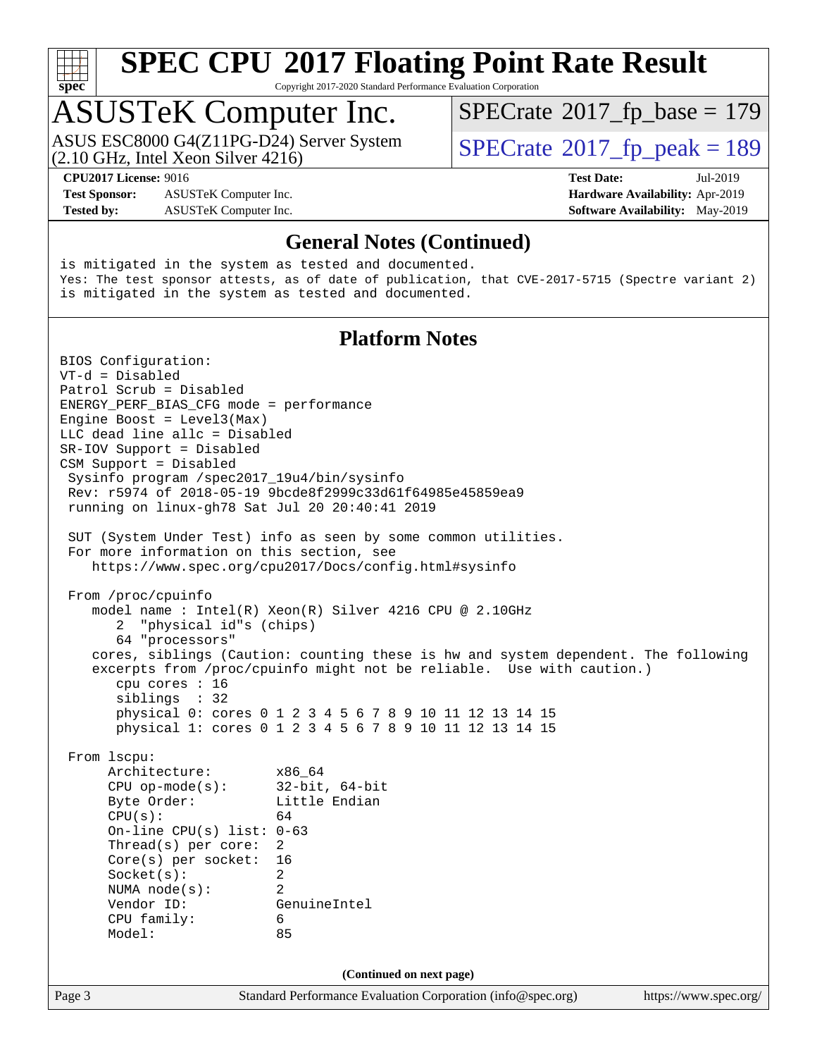

Copyright 2017-2020 Standard Performance Evaluation Corporation

### ASUSTeK Computer Inc.

(2.10 GHz, Intel Xeon Silver 4216) ASUS ESC8000 G4(Z11PG-D24) Server System  $\vert$  [SPECrate](http://www.spec.org/auto/cpu2017/Docs/result-fields.html#SPECrate2017fppeak)®[2017\\_fp\\_peak = 1](http://www.spec.org/auto/cpu2017/Docs/result-fields.html#SPECrate2017fppeak)89

 $SPECTate$ <sup>®</sup>[2017\\_fp\\_base =](http://www.spec.org/auto/cpu2017/Docs/result-fields.html#SPECrate2017fpbase) 179

**[CPU2017 License:](http://www.spec.org/auto/cpu2017/Docs/result-fields.html#CPU2017License)** 9016 **[Test Date:](http://www.spec.org/auto/cpu2017/Docs/result-fields.html#TestDate)** Jul-2019

**[Test Sponsor:](http://www.spec.org/auto/cpu2017/Docs/result-fields.html#TestSponsor)** ASUSTeK Computer Inc. **[Hardware Availability:](http://www.spec.org/auto/cpu2017/Docs/result-fields.html#HardwareAvailability)** Apr-2019 **[Tested by:](http://www.spec.org/auto/cpu2017/Docs/result-fields.html#Testedby)** ASUSTeK Computer Inc. **[Software Availability:](http://www.spec.org/auto/cpu2017/Docs/result-fields.html#SoftwareAvailability)** May-2019

#### **[General Notes \(Continued\)](http://www.spec.org/auto/cpu2017/Docs/result-fields.html#GeneralNotes)**

is mitigated in the system as tested and documented. Yes: The test sponsor attests, as of date of publication, that CVE-2017-5715 (Spectre variant 2) is mitigated in the system as tested and documented.

#### **[Platform Notes](http://www.spec.org/auto/cpu2017/Docs/result-fields.html#PlatformNotes)**

Page 3 Standard Performance Evaluation Corporation [\(info@spec.org\)](mailto:info@spec.org) <https://www.spec.org/> BIOS Configuration: VT-d = Disabled Patrol Scrub = Disabled ENERGY\_PERF\_BIAS\_CFG mode = performance Engine Boost = Level3(Max) LLC dead line allc = Disabled SR-IOV Support = Disabled CSM Support = Disabled Sysinfo program /spec2017\_19u4/bin/sysinfo Rev: r5974 of 2018-05-19 9bcde8f2999c33d61f64985e45859ea9 running on linux-gh78 Sat Jul 20 20:40:41 2019 SUT (System Under Test) info as seen by some common utilities. For more information on this section, see <https://www.spec.org/cpu2017/Docs/config.html#sysinfo> From /proc/cpuinfo model name : Intel(R) Xeon(R) Silver 4216 CPU @ 2.10GHz 2 "physical id"s (chips) 64 "processors" cores, siblings (Caution: counting these is hw and system dependent. The following excerpts from /proc/cpuinfo might not be reliable. Use with caution.) cpu cores : 16 siblings : 32 physical 0: cores 0 1 2 3 4 5 6 7 8 9 10 11 12 13 14 15 physical 1: cores 0 1 2 3 4 5 6 7 8 9 10 11 12 13 14 15 From lscpu: Architecture: x86\_64 CPU op-mode(s): 32-bit, 64-bit Byte Order: Little Endian  $CPU(s):$  64 On-line CPU(s) list: 0-63 Thread(s) per core: 2 Core(s) per socket: 16 Socket(s): 2 NUMA node(s): 2 Vendor ID: GenuineIntel CPU family: 6 Model: 85 **(Continued on next page)**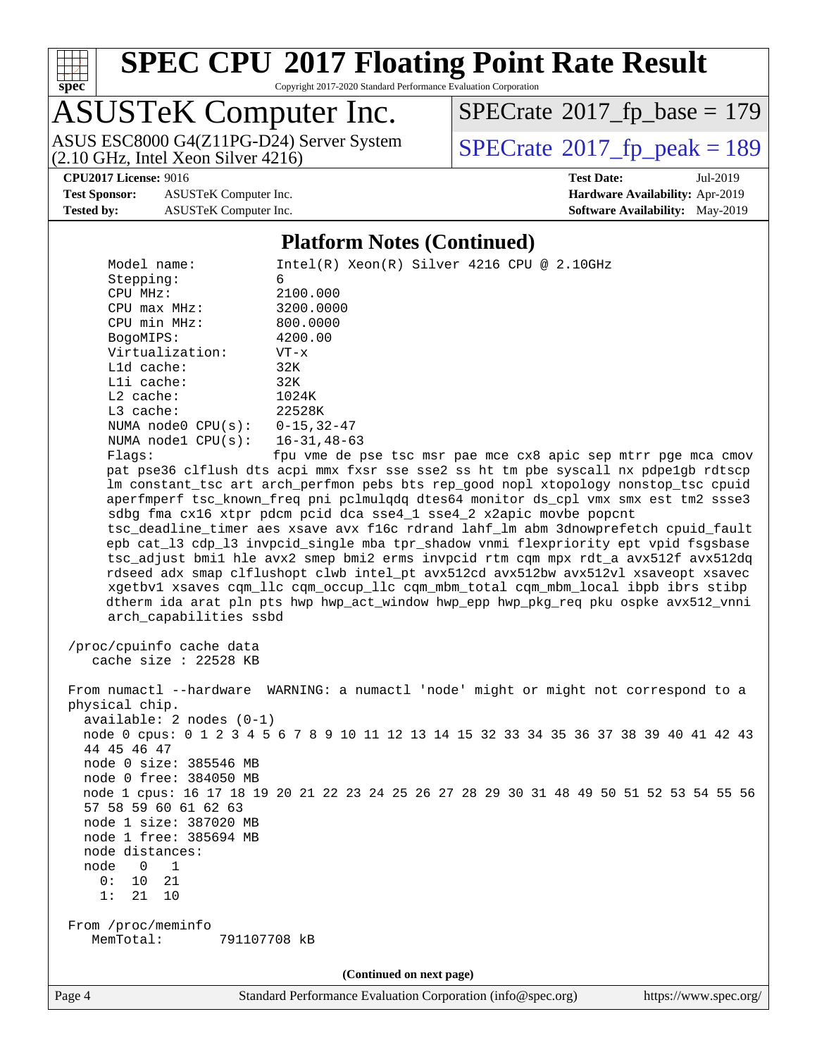

Copyright 2017-2020 Standard Performance Evaluation Corporation

# ASUSTeK Computer Inc.<br>ASUS ESC8000 G4(Z11PG-D24) Server System

(2.10 GHz, Intel Xeon Silver 4216)

 $SPECrate$ <sup>®</sup>[2017\\_fp\\_base =](http://www.spec.org/auto/cpu2017/Docs/result-fields.html#SPECrate2017fpbase) 179

**[Test Sponsor:](http://www.spec.org/auto/cpu2017/Docs/result-fields.html#TestSponsor)** ASUSTeK Computer Inc. **[Hardware Availability:](http://www.spec.org/auto/cpu2017/Docs/result-fields.html#HardwareAvailability)** Apr-2019

 $SPECTate@2017_fp\_peak = 189$ 

**[CPU2017 License:](http://www.spec.org/auto/cpu2017/Docs/result-fields.html#CPU2017License)** 9016 **[Test Date:](http://www.spec.org/auto/cpu2017/Docs/result-fields.html#TestDate)** Jul-2019 **[Tested by:](http://www.spec.org/auto/cpu2017/Docs/result-fields.html#Testedby)** ASUSTeK Computer Inc. **[Software Availability:](http://www.spec.org/auto/cpu2017/Docs/result-fields.html#SoftwareAvailability)** May-2019

#### **[Platform Notes \(Continued\)](http://www.spec.org/auto/cpu2017/Docs/result-fields.html#PlatformNotes)**

| Model name:                                                                             | $Intel(R) Xeon(R) Silver 4216 CPU @ 2.10GHz$                                         |  |  |  |  |
|-----------------------------------------------------------------------------------------|--------------------------------------------------------------------------------------|--|--|--|--|
| Stepping:                                                                               | б.                                                                                   |  |  |  |  |
| CPU MHz:                                                                                | 2100.000                                                                             |  |  |  |  |
| CPU max MHz:                                                                            | 3200.0000                                                                            |  |  |  |  |
| CPU min MHz:                                                                            | 800.0000                                                                             |  |  |  |  |
| BogoMIPS:                                                                               | 4200.00                                                                              |  |  |  |  |
| Virtualization:                                                                         | $VT - x$                                                                             |  |  |  |  |
| L1d cache:                                                                              | 32K                                                                                  |  |  |  |  |
| Lli cache:                                                                              | 32K                                                                                  |  |  |  |  |
| $L2$ cache:                                                                             | 1024K                                                                                |  |  |  |  |
| L3 cache:                                                                               | 22528K                                                                               |  |  |  |  |
| NUMA node0 CPU(s): 0-15,32-47                                                           |                                                                                      |  |  |  |  |
| NUMA nodel $CPU(s): 16-31, 48-63$                                                       |                                                                                      |  |  |  |  |
| Flaqs:                                                                                  | fpu vme de pse tsc msr pae mce cx8 apic sep mtrr pge mca cmov                        |  |  |  |  |
|                                                                                         | pat pse36 clflush dts acpi mmx fxsr sse sse2 ss ht tm pbe syscall nx pdpelgb rdtscp  |  |  |  |  |
|                                                                                         | lm constant_tsc art arch_perfmon pebs bts rep_good nopl xtopology nonstop_tsc cpuid  |  |  |  |  |
|                                                                                         | aperfmperf tsc_known_freq pni pclmulqdq dtes64 monitor ds_cpl vmx smx est tm2 ssse3  |  |  |  |  |
|                                                                                         | sdbg fma cx16 xtpr pdcm pcid dca sse4_1 sse4_2 x2apic movbe popcnt                   |  |  |  |  |
|                                                                                         | tsc_deadline_timer aes xsave avx f16c rdrand lahf_lm abm 3dnowprefetch cpuid_fault   |  |  |  |  |
|                                                                                         | epb cat_13 cdp_13 invpcid_single mba tpr_shadow vnmi flexpriority ept vpid fsgsbase  |  |  |  |  |
|                                                                                         | tsc_adjust bmil hle avx2 smep bmi2 erms invpcid rtm cqm mpx rdt_a avx512f avx512dq   |  |  |  |  |
|                                                                                         | rdseed adx smap clflushopt clwb intel_pt avx512cd avx512bw avx512vl xsaveopt xsavec  |  |  |  |  |
|                                                                                         | xgetbvl xsaves cqm_llc cqm_occup_llc cqm_mbm_total cqm_mbm_local ibpb ibrs stibp     |  |  |  |  |
|                                                                                         | dtherm ida arat pln pts hwp hwp_act_window hwp_epp hwp_pkg_req pku ospke avx512_vnni |  |  |  |  |
| arch_capabilities ssbd                                                                  |                                                                                      |  |  |  |  |
|                                                                                         |                                                                                      |  |  |  |  |
| /proc/cpuinfo cache data                                                                |                                                                                      |  |  |  |  |
| cache size : 22528 KB                                                                   |                                                                                      |  |  |  |  |
|                                                                                         |                                                                                      |  |  |  |  |
|                                                                                         | From numactl --hardware WARNING: a numactl 'node' might or might not correspond to a |  |  |  |  |
| physical chip.                                                                          |                                                                                      |  |  |  |  |
| $available: 2 nodes (0-1)$                                                              |                                                                                      |  |  |  |  |
| node 0 cpus: 0 1 2 3 4 5 6 7 8 9 10 11 12 13 14 15 32 33 34 35 36 37 38 39 40 41 42 43  |                                                                                      |  |  |  |  |
| 44 45 46 47                                                                             |                                                                                      |  |  |  |  |
| node 0 size: 385546 MB                                                                  |                                                                                      |  |  |  |  |
| node 0 free: 384050 MB                                                                  |                                                                                      |  |  |  |  |
| node 1 cpus: 16 17 18 19 20 21 22 23 24 25 26 27 28 29 30 31 48 49 50 51 52 53 54 55 56 |                                                                                      |  |  |  |  |
| 57 58 59 60 61 62 63                                                                    |                                                                                      |  |  |  |  |
| node 1 size: 387020 MB                                                                  |                                                                                      |  |  |  |  |
| node 1 free: 385694 MB                                                                  |                                                                                      |  |  |  |  |
| node distances:                                                                         |                                                                                      |  |  |  |  |
| node<br>0<br>1                                                                          |                                                                                      |  |  |  |  |
| 0:<br>10<br>21                                                                          |                                                                                      |  |  |  |  |
| 1:<br>21<br>10                                                                          |                                                                                      |  |  |  |  |
|                                                                                         |                                                                                      |  |  |  |  |
| From /proc/meminfo<br>791107708 kB                                                      |                                                                                      |  |  |  |  |
| MemTotal:                                                                               |                                                                                      |  |  |  |  |
|                                                                                         |                                                                                      |  |  |  |  |
|                                                                                         | (Continued on next page)                                                             |  |  |  |  |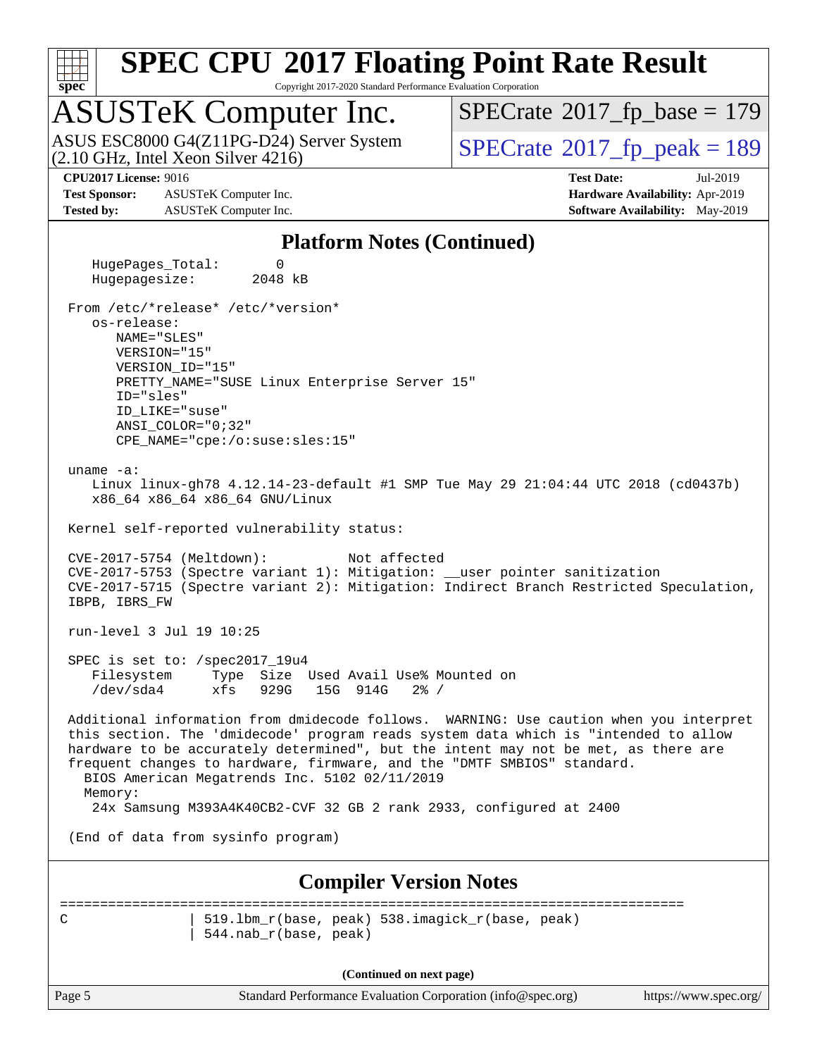

Copyright 2017-2020 Standard Performance Evaluation Corporation

### ASUSTeK Computer Inc.

(2.10 GHz, Intel Xeon Silver 4216) ASUS ESC8000 G4(Z11PG-D24) Server System  $\sqrt{\text{SPECrate}^{\otimes}2017\_fp\_peak} = 189$  $\sqrt{\text{SPECrate}^{\otimes}2017\_fp\_peak} = 189$  $\sqrt{\text{SPECrate}^{\otimes}2017\_fp\_peak} = 189$ 

 $SPECTate$ <sup>®</sup>[2017\\_fp\\_base =](http://www.spec.org/auto/cpu2017/Docs/result-fields.html#SPECrate2017fpbase) 179

**[Test Sponsor:](http://www.spec.org/auto/cpu2017/Docs/result-fields.html#TestSponsor)** ASUSTeK Computer Inc. **[Hardware Availability:](http://www.spec.org/auto/cpu2017/Docs/result-fields.html#HardwareAvailability)** Apr-2019 **[Tested by:](http://www.spec.org/auto/cpu2017/Docs/result-fields.html#Testedby)** ASUSTeK Computer Inc. **[Software Availability:](http://www.spec.org/auto/cpu2017/Docs/result-fields.html#SoftwareAvailability)** May-2019

**[CPU2017 License:](http://www.spec.org/auto/cpu2017/Docs/result-fields.html#CPU2017License)** 9016 **[Test Date:](http://www.spec.org/auto/cpu2017/Docs/result-fields.html#TestDate)** Jul-2019

#### **[Platform Notes \(Continued\)](http://www.spec.org/auto/cpu2017/Docs/result-fields.html#PlatformNotes)**

 HugePages\_Total: 0 Hugepagesize: 2048 kB From /etc/\*release\* /etc/\*version\* os-release: NAME="SLES" VERSION="15" VERSION\_ID="15" PRETTY\_NAME="SUSE Linux Enterprise Server 15" ID="sles" ID\_LIKE="suse" ANSI\_COLOR="0;32" CPE\_NAME="cpe:/o:suse:sles:15" uname -a: Linux linux-gh78 4.12.14-23-default #1 SMP Tue May 29 21:04:44 UTC 2018 (cd0437b) x86\_64 x86\_64 x86\_64 GNU/Linux Kernel self-reported vulnerability status: CVE-2017-5754 (Meltdown): Not affected CVE-2017-5753 (Spectre variant 1): Mitigation: \_\_user pointer sanitization CVE-2017-5715 (Spectre variant 2): Mitigation: Indirect Branch Restricted Speculation, IBPB, IBRS\_FW run-level 3 Jul 19 10:25 SPEC is set to: /spec2017\_19u4 Filesystem Type Size Used Avail Use% Mounted on /dev/sda4 xfs 929G 15G 914G 2% / Additional information from dmidecode follows. WARNING: Use caution when you interpret this section. The 'dmidecode' program reads system data which is "intended to allow hardware to be accurately determined", but the intent may not be met, as there are frequent changes to hardware, firmware, and the "DMTF SMBIOS" standard. BIOS American Megatrends Inc. 5102 02/11/2019 Memory: 24x Samsung M393A4K40CB2-CVF 32 GB 2 rank 2933, configured at 2400 (End of data from sysinfo program) **[Compiler Version Notes](http://www.spec.org/auto/cpu2017/Docs/result-fields.html#CompilerVersionNotes)** ============================================================================== C | 519.lbm\_r(base, peak) 538.imagick\_r(base, peak) | 544.nab\_r(base, peak)

**(Continued on next page)**

Page 5 Standard Performance Evaluation Corporation [\(info@spec.org\)](mailto:info@spec.org) <https://www.spec.org/>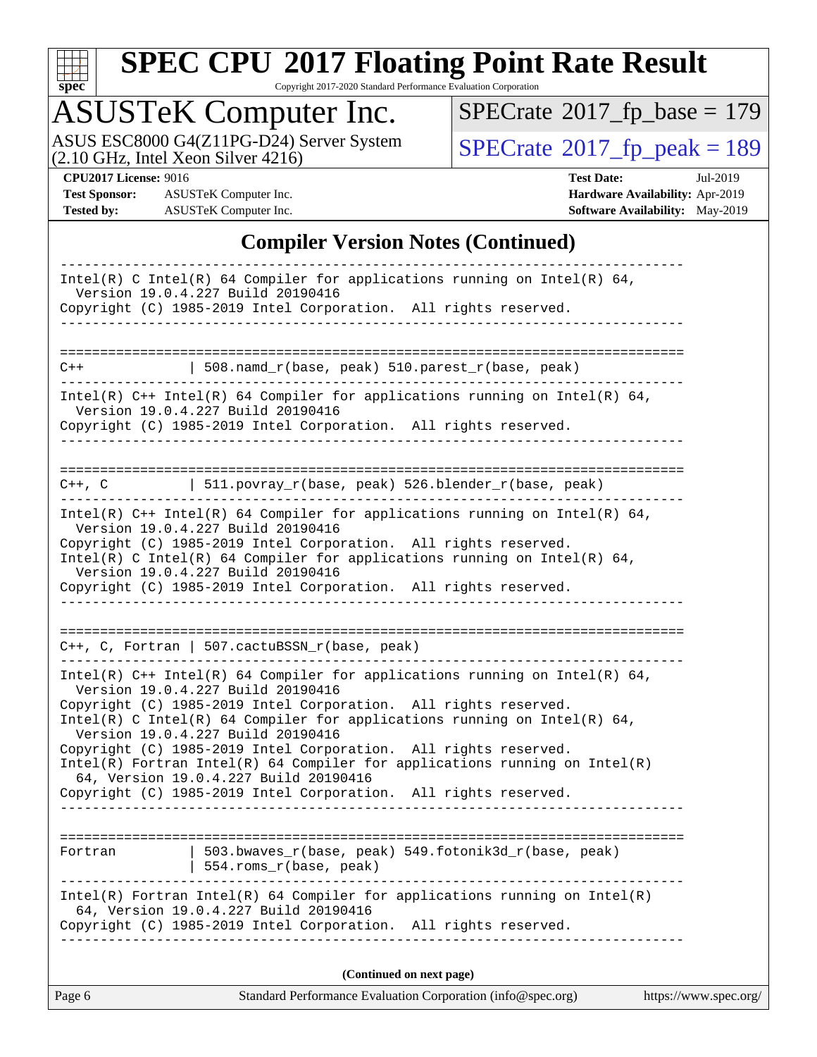

Copyright 2017-2020 Standard Performance Evaluation Corporation

### ASUSTeK Computer Inc.

ASUS ESC8000 G4(Z11PG-D24) Server System  $(2.10 \text{ GHz}, \text{ Intel Xeon Silver } 4216)$ 

 $SPECrate$ <sup>®</sup>[2017\\_fp\\_base =](http://www.spec.org/auto/cpu2017/Docs/result-fields.html#SPECrate2017fpbase) 179

**[Test Sponsor:](http://www.spec.org/auto/cpu2017/Docs/result-fields.html#TestSponsor)** ASUSTeK Computer Inc. **[Hardware Availability:](http://www.spec.org/auto/cpu2017/Docs/result-fields.html#HardwareAvailability)** Apr-2019 **[Tested by:](http://www.spec.org/auto/cpu2017/Docs/result-fields.html#Testedby)** ASUSTeK Computer Inc. **[Software Availability:](http://www.spec.org/auto/cpu2017/Docs/result-fields.html#SoftwareAvailability)** May-2019

**[CPU2017 License:](http://www.spec.org/auto/cpu2017/Docs/result-fields.html#CPU2017License)** 9016 **[Test Date:](http://www.spec.org/auto/cpu2017/Docs/result-fields.html#TestDate)** Jul-2019

#### **[Compiler Version Notes \(Continued\)](http://www.spec.org/auto/cpu2017/Docs/result-fields.html#CompilerVersionNotes)**

| Standard Performance Evaluation Corporation (info@spec.org)<br>Page 6<br>https://www.spec.org/                                                                                           |
|------------------------------------------------------------------------------------------------------------------------------------------------------------------------------------------|
| (Continued on next page)                                                                                                                                                                 |
| $Intel(R)$ Fortran Intel(R) 64 Compiler for applications running on Intel(R)<br>64, Version 19.0.4.227 Build 20190416<br>Copyright (C) 1985-2019 Intel Corporation. All rights reserved. |
| 503.bwaves_r(base, peak) 549.fotonik3d_r(base, peak)<br>Fortran<br>554.roms_r(base, peak)                                                                                                |
|                                                                                                                                                                                          |
| Copyright (C) 1985-2019 Intel Corporation. All rights reserved.<br>----------------------------------                                                                                    |
| $Intel(R)$ Fortran Intel(R) 64 Compiler for applications running on Intel(R)<br>64, Version 19.0.4.227 Build 20190416                                                                    |
| Version 19.0.4.227 Build 20190416<br>Copyright (C) 1985-2019 Intel Corporation. All rights reserved.                                                                                     |
| Version 19.0.4.227 Build 20190416<br>Copyright (C) 1985-2019 Intel Corporation. All rights reserved.<br>Intel(R) C Intel(R) 64 Compiler for applications running on Intel(R) 64,         |
| Intel(R) $C++$ Intel(R) 64 Compiler for applications running on Intel(R) 64,                                                                                                             |
| $C++$ , C, Fortran   507.cactuBSSN_r(base, peak)                                                                                                                                         |
| ---------------------                                                                                                                                                                    |
| Version 19.0.4.227 Build 20190416<br>Copyright (C) 1985-2019 Intel Corporation. All rights reserved.                                                                                     |
| Copyright (C) 1985-2019 Intel Corporation. All rights reserved.<br>Intel(R) C Intel(R) 64 Compiler for applications running on Intel(R) 64,                                              |
| Intel(R) $C++$ Intel(R) 64 Compiler for applications running on Intel(R) 64,<br>Version 19.0.4.227 Build 20190416                                                                        |
| C++, C $ 511.povray_r(base, peak) 526.blender_r(base, peak)$                                                                                                                             |
|                                                                                                                                                                                          |
| Copyright (C) 1985-2019 Intel Corporation. All rights reserved.<br>--------------------                                                                                                  |
| Intel(R) $C++$ Intel(R) 64 Compiler for applications running on Intel(R) 64,<br>Version 19.0.4.227 Build 20190416                                                                        |
| 508.namd_r(base, peak) 510.parest_r(base, peak)<br>$C++$                                                                                                                                 |
|                                                                                                                                                                                          |
| Copyright (C) 1985-2019 Intel Corporation. All rights reserved.                                                                                                                          |
| Intel(R) C Intel(R) 64 Compiler for applications running on Intel(R) 64,<br>Version 19.0.4.227 Build 20190416                                                                            |
|                                                                                                                                                                                          |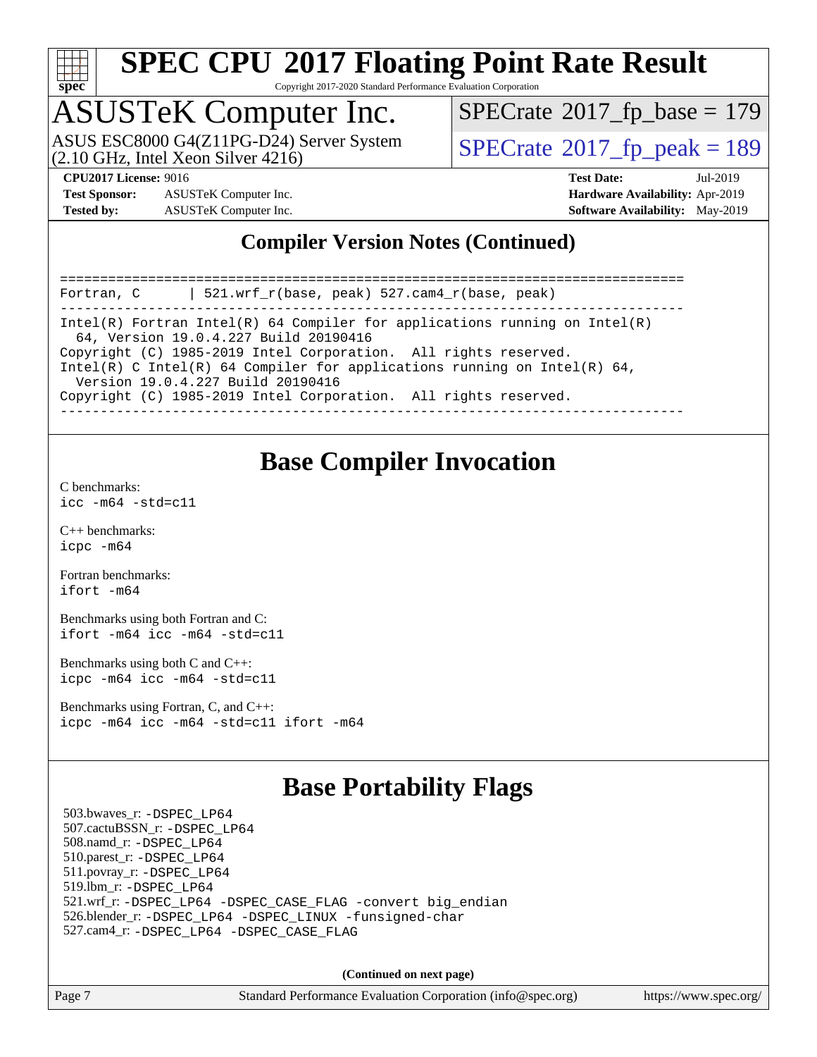

Copyright 2017-2020 Standard Performance Evaluation Corporation

# ASUSTeK Computer Inc.<br>ASUS ESC8000 G4(Z11PG-D24) Server System

(2.10 GHz, Intel Xeon Silver 4216)

 $SPECTate$ <sup>®</sup>[2017\\_fp\\_base =](http://www.spec.org/auto/cpu2017/Docs/result-fields.html#SPECrate2017fpbase) 179

 $SPECTate<sup>®</sup>2017<sub>fr</sub>peak = 189$ 

**[Test Sponsor:](http://www.spec.org/auto/cpu2017/Docs/result-fields.html#TestSponsor)** ASUSTeK Computer Inc. **[Hardware Availability:](http://www.spec.org/auto/cpu2017/Docs/result-fields.html#HardwareAvailability)** Apr-2019 **[Tested by:](http://www.spec.org/auto/cpu2017/Docs/result-fields.html#Testedby)** ASUSTeK Computer Inc. **[Software Availability:](http://www.spec.org/auto/cpu2017/Docs/result-fields.html#SoftwareAvailability)** May-2019

**[CPU2017 License:](http://www.spec.org/auto/cpu2017/Docs/result-fields.html#CPU2017License)** 9016 **[Test Date:](http://www.spec.org/auto/cpu2017/Docs/result-fields.html#TestDate)** Jul-2019

#### **[Compiler Version Notes \(Continued\)](http://www.spec.org/auto/cpu2017/Docs/result-fields.html#CompilerVersionNotes)**

============================================================================== Fortran, C | 521.wrf\_r(base, peak) 527.cam4\_r(base, peak) ------------------------------------------------------------------------------ Intel(R) Fortran Intel(R) 64 Compiler for applications running on Intel(R) 64, Version 19.0.4.227 Build 20190416 Copyright (C) 1985-2019 Intel Corporation. All rights reserved. Intel(R) C Intel(R) 64 Compiler for applications running on Intel(R)  $64$ , Version 19.0.4.227 Build 20190416 Copyright (C) 1985-2019 Intel Corporation. All rights reserved. ------------------------------------------------------------------------------

#### **[Base Compiler Invocation](http://www.spec.org/auto/cpu2017/Docs/result-fields.html#BaseCompilerInvocation)**

[C benchmarks](http://www.spec.org/auto/cpu2017/Docs/result-fields.html#Cbenchmarks): [icc -m64 -std=c11](http://www.spec.org/cpu2017/results/res2019q3/cpu2017-20190805-16605.flags.html#user_CCbase_intel_icc_64bit_c11_33ee0cdaae7deeeab2a9725423ba97205ce30f63b9926c2519791662299b76a0318f32ddfffdc46587804de3178b4f9328c46fa7c2b0cd779d7a61945c91cd35)

[C++ benchmarks:](http://www.spec.org/auto/cpu2017/Docs/result-fields.html#CXXbenchmarks) [icpc -m64](http://www.spec.org/cpu2017/results/res2019q3/cpu2017-20190805-16605.flags.html#user_CXXbase_intel_icpc_64bit_4ecb2543ae3f1412ef961e0650ca070fec7b7afdcd6ed48761b84423119d1bf6bdf5cad15b44d48e7256388bc77273b966e5eb805aefd121eb22e9299b2ec9d9)

[Fortran benchmarks](http://www.spec.org/auto/cpu2017/Docs/result-fields.html#Fortranbenchmarks): [ifort -m64](http://www.spec.org/cpu2017/results/res2019q3/cpu2017-20190805-16605.flags.html#user_FCbase_intel_ifort_64bit_24f2bb282fbaeffd6157abe4f878425411749daecae9a33200eee2bee2fe76f3b89351d69a8130dd5949958ce389cf37ff59a95e7a40d588e8d3a57e0c3fd751)

[Benchmarks using both Fortran and C](http://www.spec.org/auto/cpu2017/Docs/result-fields.html#BenchmarksusingbothFortranandC): [ifort -m64](http://www.spec.org/cpu2017/results/res2019q3/cpu2017-20190805-16605.flags.html#user_CC_FCbase_intel_ifort_64bit_24f2bb282fbaeffd6157abe4f878425411749daecae9a33200eee2bee2fe76f3b89351d69a8130dd5949958ce389cf37ff59a95e7a40d588e8d3a57e0c3fd751) [icc -m64 -std=c11](http://www.spec.org/cpu2017/results/res2019q3/cpu2017-20190805-16605.flags.html#user_CC_FCbase_intel_icc_64bit_c11_33ee0cdaae7deeeab2a9725423ba97205ce30f63b9926c2519791662299b76a0318f32ddfffdc46587804de3178b4f9328c46fa7c2b0cd779d7a61945c91cd35)

[Benchmarks using both C and C++](http://www.spec.org/auto/cpu2017/Docs/result-fields.html#BenchmarksusingbothCandCXX): [icpc -m64](http://www.spec.org/cpu2017/results/res2019q3/cpu2017-20190805-16605.flags.html#user_CC_CXXbase_intel_icpc_64bit_4ecb2543ae3f1412ef961e0650ca070fec7b7afdcd6ed48761b84423119d1bf6bdf5cad15b44d48e7256388bc77273b966e5eb805aefd121eb22e9299b2ec9d9) [icc -m64 -std=c11](http://www.spec.org/cpu2017/results/res2019q3/cpu2017-20190805-16605.flags.html#user_CC_CXXbase_intel_icc_64bit_c11_33ee0cdaae7deeeab2a9725423ba97205ce30f63b9926c2519791662299b76a0318f32ddfffdc46587804de3178b4f9328c46fa7c2b0cd779d7a61945c91cd35)

[Benchmarks using Fortran, C, and C++:](http://www.spec.org/auto/cpu2017/Docs/result-fields.html#BenchmarksusingFortranCandCXX) [icpc -m64](http://www.spec.org/cpu2017/results/res2019q3/cpu2017-20190805-16605.flags.html#user_CC_CXX_FCbase_intel_icpc_64bit_4ecb2543ae3f1412ef961e0650ca070fec7b7afdcd6ed48761b84423119d1bf6bdf5cad15b44d48e7256388bc77273b966e5eb805aefd121eb22e9299b2ec9d9) [icc -m64 -std=c11](http://www.spec.org/cpu2017/results/res2019q3/cpu2017-20190805-16605.flags.html#user_CC_CXX_FCbase_intel_icc_64bit_c11_33ee0cdaae7deeeab2a9725423ba97205ce30f63b9926c2519791662299b76a0318f32ddfffdc46587804de3178b4f9328c46fa7c2b0cd779d7a61945c91cd35) [ifort -m64](http://www.spec.org/cpu2017/results/res2019q3/cpu2017-20190805-16605.flags.html#user_CC_CXX_FCbase_intel_ifort_64bit_24f2bb282fbaeffd6157abe4f878425411749daecae9a33200eee2bee2fe76f3b89351d69a8130dd5949958ce389cf37ff59a95e7a40d588e8d3a57e0c3fd751)

#### **[Base Portability Flags](http://www.spec.org/auto/cpu2017/Docs/result-fields.html#BasePortabilityFlags)**

 503.bwaves\_r: [-DSPEC\\_LP64](http://www.spec.org/cpu2017/results/res2019q3/cpu2017-20190805-16605.flags.html#suite_basePORTABILITY503_bwaves_r_DSPEC_LP64) 507.cactuBSSN\_r: [-DSPEC\\_LP64](http://www.spec.org/cpu2017/results/res2019q3/cpu2017-20190805-16605.flags.html#suite_basePORTABILITY507_cactuBSSN_r_DSPEC_LP64) 508.namd\_r: [-DSPEC\\_LP64](http://www.spec.org/cpu2017/results/res2019q3/cpu2017-20190805-16605.flags.html#suite_basePORTABILITY508_namd_r_DSPEC_LP64) 510.parest\_r: [-DSPEC\\_LP64](http://www.spec.org/cpu2017/results/res2019q3/cpu2017-20190805-16605.flags.html#suite_basePORTABILITY510_parest_r_DSPEC_LP64) 511.povray\_r: [-DSPEC\\_LP64](http://www.spec.org/cpu2017/results/res2019q3/cpu2017-20190805-16605.flags.html#suite_basePORTABILITY511_povray_r_DSPEC_LP64) 519.lbm\_r: [-DSPEC\\_LP64](http://www.spec.org/cpu2017/results/res2019q3/cpu2017-20190805-16605.flags.html#suite_basePORTABILITY519_lbm_r_DSPEC_LP64) 521.wrf\_r: [-DSPEC\\_LP64](http://www.spec.org/cpu2017/results/res2019q3/cpu2017-20190805-16605.flags.html#suite_basePORTABILITY521_wrf_r_DSPEC_LP64) [-DSPEC\\_CASE\\_FLAG](http://www.spec.org/cpu2017/results/res2019q3/cpu2017-20190805-16605.flags.html#b521.wrf_r_baseCPORTABILITY_DSPEC_CASE_FLAG) [-convert big\\_endian](http://www.spec.org/cpu2017/results/res2019q3/cpu2017-20190805-16605.flags.html#user_baseFPORTABILITY521_wrf_r_convert_big_endian_c3194028bc08c63ac5d04de18c48ce6d347e4e562e8892b8bdbdc0214820426deb8554edfa529a3fb25a586e65a3d812c835984020483e7e73212c4d31a38223) 526.blender\_r: [-DSPEC\\_LP64](http://www.spec.org/cpu2017/results/res2019q3/cpu2017-20190805-16605.flags.html#suite_basePORTABILITY526_blender_r_DSPEC_LP64) [-DSPEC\\_LINUX](http://www.spec.org/cpu2017/results/res2019q3/cpu2017-20190805-16605.flags.html#b526.blender_r_baseCPORTABILITY_DSPEC_LINUX) [-funsigned-char](http://www.spec.org/cpu2017/results/res2019q3/cpu2017-20190805-16605.flags.html#user_baseCPORTABILITY526_blender_r_force_uchar_40c60f00ab013830e2dd6774aeded3ff59883ba5a1fc5fc14077f794d777847726e2a5858cbc7672e36e1b067e7e5c1d9a74f7176df07886a243d7cc18edfe67) 527.cam4\_r: [-DSPEC\\_LP64](http://www.spec.org/cpu2017/results/res2019q3/cpu2017-20190805-16605.flags.html#suite_basePORTABILITY527_cam4_r_DSPEC_LP64) [-DSPEC\\_CASE\\_FLAG](http://www.spec.org/cpu2017/results/res2019q3/cpu2017-20190805-16605.flags.html#b527.cam4_r_baseCPORTABILITY_DSPEC_CASE_FLAG)

**(Continued on next page)**

| Page |  |
|------|--|
|      |  |

Page 7 Standard Performance Evaluation Corporation [\(info@spec.org\)](mailto:info@spec.org) <https://www.spec.org/>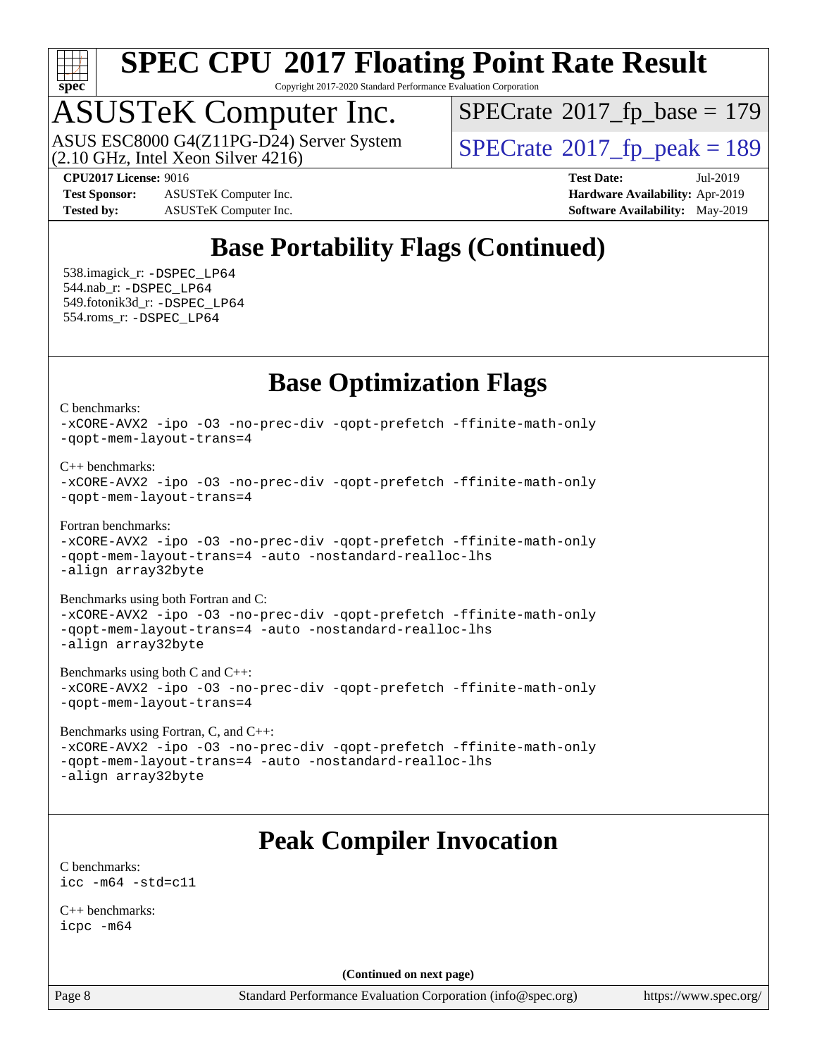

Copyright 2017-2020 Standard Performance Evaluation Corporation

### ASUSTeK Computer Inc.

(2.10 GHz, Intel Xeon Silver 4216) ASUS ESC8000 G4(Z11PG-D24) Server System  $\vert$  [SPECrate](http://www.spec.org/auto/cpu2017/Docs/result-fields.html#SPECrate2017fppeak)®[2017\\_fp\\_peak = 1](http://www.spec.org/auto/cpu2017/Docs/result-fields.html#SPECrate2017fppeak)89

 $SPECTate$ <sup>®</sup>[2017\\_fp\\_base =](http://www.spec.org/auto/cpu2017/Docs/result-fields.html#SPECrate2017fpbase) 179

**[Test Sponsor:](http://www.spec.org/auto/cpu2017/Docs/result-fields.html#TestSponsor)** ASUSTeK Computer Inc. **[Hardware Availability:](http://www.spec.org/auto/cpu2017/Docs/result-fields.html#HardwareAvailability)** Apr-2019 **[Tested by:](http://www.spec.org/auto/cpu2017/Docs/result-fields.html#Testedby)** ASUSTeK Computer Inc. **[Software Availability:](http://www.spec.org/auto/cpu2017/Docs/result-fields.html#SoftwareAvailability)** May-2019

**[CPU2017 License:](http://www.spec.org/auto/cpu2017/Docs/result-fields.html#CPU2017License)** 9016 **[Test Date:](http://www.spec.org/auto/cpu2017/Docs/result-fields.html#TestDate)** Jul-2019

### **[Base Portability Flags \(Continued\)](http://www.spec.org/auto/cpu2017/Docs/result-fields.html#BasePortabilityFlags)**

 538.imagick\_r: [-DSPEC\\_LP64](http://www.spec.org/cpu2017/results/res2019q3/cpu2017-20190805-16605.flags.html#suite_basePORTABILITY538_imagick_r_DSPEC_LP64) 544.nab\_r: [-DSPEC\\_LP64](http://www.spec.org/cpu2017/results/res2019q3/cpu2017-20190805-16605.flags.html#suite_basePORTABILITY544_nab_r_DSPEC_LP64) 549.fotonik3d\_r: [-DSPEC\\_LP64](http://www.spec.org/cpu2017/results/res2019q3/cpu2017-20190805-16605.flags.html#suite_basePORTABILITY549_fotonik3d_r_DSPEC_LP64) 554.roms\_r: [-DSPEC\\_LP64](http://www.spec.org/cpu2017/results/res2019q3/cpu2017-20190805-16605.flags.html#suite_basePORTABILITY554_roms_r_DSPEC_LP64)

#### **[Base Optimization Flags](http://www.spec.org/auto/cpu2017/Docs/result-fields.html#BaseOptimizationFlags)**

[C benchmarks](http://www.spec.org/auto/cpu2017/Docs/result-fields.html#Cbenchmarks):

[-xCORE-AVX2](http://www.spec.org/cpu2017/results/res2019q3/cpu2017-20190805-16605.flags.html#user_CCbase_f-xCORE-AVX2) [-ipo](http://www.spec.org/cpu2017/results/res2019q3/cpu2017-20190805-16605.flags.html#user_CCbase_f-ipo) [-O3](http://www.spec.org/cpu2017/results/res2019q3/cpu2017-20190805-16605.flags.html#user_CCbase_f-O3) [-no-prec-div](http://www.spec.org/cpu2017/results/res2019q3/cpu2017-20190805-16605.flags.html#user_CCbase_f-no-prec-div) [-qopt-prefetch](http://www.spec.org/cpu2017/results/res2019q3/cpu2017-20190805-16605.flags.html#user_CCbase_f-qopt-prefetch) [-ffinite-math-only](http://www.spec.org/cpu2017/results/res2019q3/cpu2017-20190805-16605.flags.html#user_CCbase_f_finite_math_only_cb91587bd2077682c4b38af759c288ed7c732db004271a9512da14a4f8007909a5f1427ecbf1a0fb78ff2a814402c6114ac565ca162485bbcae155b5e4258871) [-qopt-mem-layout-trans=4](http://www.spec.org/cpu2017/results/res2019q3/cpu2017-20190805-16605.flags.html#user_CCbase_f-qopt-mem-layout-trans_fa39e755916c150a61361b7846f310bcdf6f04e385ef281cadf3647acec3f0ae266d1a1d22d972a7087a248fd4e6ca390a3634700869573d231a252c784941a8)

[C++ benchmarks:](http://www.spec.org/auto/cpu2017/Docs/result-fields.html#CXXbenchmarks)

```
-xCORE-AVX2 -ipo -O3 -no-prec-div -qopt-prefetch -ffinite-math-only
-qopt-mem-layout-trans=4
```
[Fortran benchmarks](http://www.spec.org/auto/cpu2017/Docs/result-fields.html#Fortranbenchmarks):

[-xCORE-AVX2](http://www.spec.org/cpu2017/results/res2019q3/cpu2017-20190805-16605.flags.html#user_FCbase_f-xCORE-AVX2) [-ipo](http://www.spec.org/cpu2017/results/res2019q3/cpu2017-20190805-16605.flags.html#user_FCbase_f-ipo) [-O3](http://www.spec.org/cpu2017/results/res2019q3/cpu2017-20190805-16605.flags.html#user_FCbase_f-O3) [-no-prec-div](http://www.spec.org/cpu2017/results/res2019q3/cpu2017-20190805-16605.flags.html#user_FCbase_f-no-prec-div) [-qopt-prefetch](http://www.spec.org/cpu2017/results/res2019q3/cpu2017-20190805-16605.flags.html#user_FCbase_f-qopt-prefetch) [-ffinite-math-only](http://www.spec.org/cpu2017/results/res2019q3/cpu2017-20190805-16605.flags.html#user_FCbase_f_finite_math_only_cb91587bd2077682c4b38af759c288ed7c732db004271a9512da14a4f8007909a5f1427ecbf1a0fb78ff2a814402c6114ac565ca162485bbcae155b5e4258871) [-qopt-mem-layout-trans=4](http://www.spec.org/cpu2017/results/res2019q3/cpu2017-20190805-16605.flags.html#user_FCbase_f-qopt-mem-layout-trans_fa39e755916c150a61361b7846f310bcdf6f04e385ef281cadf3647acec3f0ae266d1a1d22d972a7087a248fd4e6ca390a3634700869573d231a252c784941a8) [-auto](http://www.spec.org/cpu2017/results/res2019q3/cpu2017-20190805-16605.flags.html#user_FCbase_f-auto) [-nostandard-realloc-lhs](http://www.spec.org/cpu2017/results/res2019q3/cpu2017-20190805-16605.flags.html#user_FCbase_f_2003_std_realloc_82b4557e90729c0f113870c07e44d33d6f5a304b4f63d4c15d2d0f1fab99f5daaed73bdb9275d9ae411527f28b936061aa8b9c8f2d63842963b95c9dd6426b8a) [-align array32byte](http://www.spec.org/cpu2017/results/res2019q3/cpu2017-20190805-16605.flags.html#user_FCbase_align_array32byte_b982fe038af199962ba9a80c053b8342c548c85b40b8e86eb3cc33dee0d7986a4af373ac2d51c3f7cf710a18d62fdce2948f201cd044323541f22fc0fffc51b6)

[Benchmarks using both Fortran and C](http://www.spec.org/auto/cpu2017/Docs/result-fields.html#BenchmarksusingbothFortranandC):

[-xCORE-AVX2](http://www.spec.org/cpu2017/results/res2019q3/cpu2017-20190805-16605.flags.html#user_CC_FCbase_f-xCORE-AVX2) [-ipo](http://www.spec.org/cpu2017/results/res2019q3/cpu2017-20190805-16605.flags.html#user_CC_FCbase_f-ipo) [-O3](http://www.spec.org/cpu2017/results/res2019q3/cpu2017-20190805-16605.flags.html#user_CC_FCbase_f-O3) [-no-prec-div](http://www.spec.org/cpu2017/results/res2019q3/cpu2017-20190805-16605.flags.html#user_CC_FCbase_f-no-prec-div) [-qopt-prefetch](http://www.spec.org/cpu2017/results/res2019q3/cpu2017-20190805-16605.flags.html#user_CC_FCbase_f-qopt-prefetch) [-ffinite-math-only](http://www.spec.org/cpu2017/results/res2019q3/cpu2017-20190805-16605.flags.html#user_CC_FCbase_f_finite_math_only_cb91587bd2077682c4b38af759c288ed7c732db004271a9512da14a4f8007909a5f1427ecbf1a0fb78ff2a814402c6114ac565ca162485bbcae155b5e4258871) [-qopt-mem-layout-trans=4](http://www.spec.org/cpu2017/results/res2019q3/cpu2017-20190805-16605.flags.html#user_CC_FCbase_f-qopt-mem-layout-trans_fa39e755916c150a61361b7846f310bcdf6f04e385ef281cadf3647acec3f0ae266d1a1d22d972a7087a248fd4e6ca390a3634700869573d231a252c784941a8) [-auto](http://www.spec.org/cpu2017/results/res2019q3/cpu2017-20190805-16605.flags.html#user_CC_FCbase_f-auto) [-nostandard-realloc-lhs](http://www.spec.org/cpu2017/results/res2019q3/cpu2017-20190805-16605.flags.html#user_CC_FCbase_f_2003_std_realloc_82b4557e90729c0f113870c07e44d33d6f5a304b4f63d4c15d2d0f1fab99f5daaed73bdb9275d9ae411527f28b936061aa8b9c8f2d63842963b95c9dd6426b8a) [-align array32byte](http://www.spec.org/cpu2017/results/res2019q3/cpu2017-20190805-16605.flags.html#user_CC_FCbase_align_array32byte_b982fe038af199962ba9a80c053b8342c548c85b40b8e86eb3cc33dee0d7986a4af373ac2d51c3f7cf710a18d62fdce2948f201cd044323541f22fc0fffc51b6)

[Benchmarks using both C and C++](http://www.spec.org/auto/cpu2017/Docs/result-fields.html#BenchmarksusingbothCandCXX): [-xCORE-AVX2](http://www.spec.org/cpu2017/results/res2019q3/cpu2017-20190805-16605.flags.html#user_CC_CXXbase_f-xCORE-AVX2) [-ipo](http://www.spec.org/cpu2017/results/res2019q3/cpu2017-20190805-16605.flags.html#user_CC_CXXbase_f-ipo) [-O3](http://www.spec.org/cpu2017/results/res2019q3/cpu2017-20190805-16605.flags.html#user_CC_CXXbase_f-O3) [-no-prec-div](http://www.spec.org/cpu2017/results/res2019q3/cpu2017-20190805-16605.flags.html#user_CC_CXXbase_f-no-prec-div) [-qopt-prefetch](http://www.spec.org/cpu2017/results/res2019q3/cpu2017-20190805-16605.flags.html#user_CC_CXXbase_f-qopt-prefetch) [-ffinite-math-only](http://www.spec.org/cpu2017/results/res2019q3/cpu2017-20190805-16605.flags.html#user_CC_CXXbase_f_finite_math_only_cb91587bd2077682c4b38af759c288ed7c732db004271a9512da14a4f8007909a5f1427ecbf1a0fb78ff2a814402c6114ac565ca162485bbcae155b5e4258871) [-qopt-mem-layout-trans=4](http://www.spec.org/cpu2017/results/res2019q3/cpu2017-20190805-16605.flags.html#user_CC_CXXbase_f-qopt-mem-layout-trans_fa39e755916c150a61361b7846f310bcdf6f04e385ef281cadf3647acec3f0ae266d1a1d22d972a7087a248fd4e6ca390a3634700869573d231a252c784941a8)

[Benchmarks using Fortran, C, and C++:](http://www.spec.org/auto/cpu2017/Docs/result-fields.html#BenchmarksusingFortranCandCXX) [-xCORE-AVX2](http://www.spec.org/cpu2017/results/res2019q3/cpu2017-20190805-16605.flags.html#user_CC_CXX_FCbase_f-xCORE-AVX2) [-ipo](http://www.spec.org/cpu2017/results/res2019q3/cpu2017-20190805-16605.flags.html#user_CC_CXX_FCbase_f-ipo) [-O3](http://www.spec.org/cpu2017/results/res2019q3/cpu2017-20190805-16605.flags.html#user_CC_CXX_FCbase_f-O3) [-no-prec-div](http://www.spec.org/cpu2017/results/res2019q3/cpu2017-20190805-16605.flags.html#user_CC_CXX_FCbase_f-no-prec-div) [-qopt-prefetch](http://www.spec.org/cpu2017/results/res2019q3/cpu2017-20190805-16605.flags.html#user_CC_CXX_FCbase_f-qopt-prefetch) [-ffinite-math-only](http://www.spec.org/cpu2017/results/res2019q3/cpu2017-20190805-16605.flags.html#user_CC_CXX_FCbase_f_finite_math_only_cb91587bd2077682c4b38af759c288ed7c732db004271a9512da14a4f8007909a5f1427ecbf1a0fb78ff2a814402c6114ac565ca162485bbcae155b5e4258871) [-qopt-mem-layout-trans=4](http://www.spec.org/cpu2017/results/res2019q3/cpu2017-20190805-16605.flags.html#user_CC_CXX_FCbase_f-qopt-mem-layout-trans_fa39e755916c150a61361b7846f310bcdf6f04e385ef281cadf3647acec3f0ae266d1a1d22d972a7087a248fd4e6ca390a3634700869573d231a252c784941a8) [-auto](http://www.spec.org/cpu2017/results/res2019q3/cpu2017-20190805-16605.flags.html#user_CC_CXX_FCbase_f-auto) [-nostandard-realloc-lhs](http://www.spec.org/cpu2017/results/res2019q3/cpu2017-20190805-16605.flags.html#user_CC_CXX_FCbase_f_2003_std_realloc_82b4557e90729c0f113870c07e44d33d6f5a304b4f63d4c15d2d0f1fab99f5daaed73bdb9275d9ae411527f28b936061aa8b9c8f2d63842963b95c9dd6426b8a) [-align array32byte](http://www.spec.org/cpu2017/results/res2019q3/cpu2017-20190805-16605.flags.html#user_CC_CXX_FCbase_align_array32byte_b982fe038af199962ba9a80c053b8342c548c85b40b8e86eb3cc33dee0d7986a4af373ac2d51c3f7cf710a18d62fdce2948f201cd044323541f22fc0fffc51b6)

#### **[Peak Compiler Invocation](http://www.spec.org/auto/cpu2017/Docs/result-fields.html#PeakCompilerInvocation)**

[C benchmarks](http://www.spec.org/auto/cpu2017/Docs/result-fields.html#Cbenchmarks): [icc -m64 -std=c11](http://www.spec.org/cpu2017/results/res2019q3/cpu2017-20190805-16605.flags.html#user_CCpeak_intel_icc_64bit_c11_33ee0cdaae7deeeab2a9725423ba97205ce30f63b9926c2519791662299b76a0318f32ddfffdc46587804de3178b4f9328c46fa7c2b0cd779d7a61945c91cd35)

[C++ benchmarks:](http://www.spec.org/auto/cpu2017/Docs/result-fields.html#CXXbenchmarks) [icpc -m64](http://www.spec.org/cpu2017/results/res2019q3/cpu2017-20190805-16605.flags.html#user_CXXpeak_intel_icpc_64bit_4ecb2543ae3f1412ef961e0650ca070fec7b7afdcd6ed48761b84423119d1bf6bdf5cad15b44d48e7256388bc77273b966e5eb805aefd121eb22e9299b2ec9d9)

**(Continued on next page)**

Page 8 Standard Performance Evaluation Corporation [\(info@spec.org\)](mailto:info@spec.org) <https://www.spec.org/>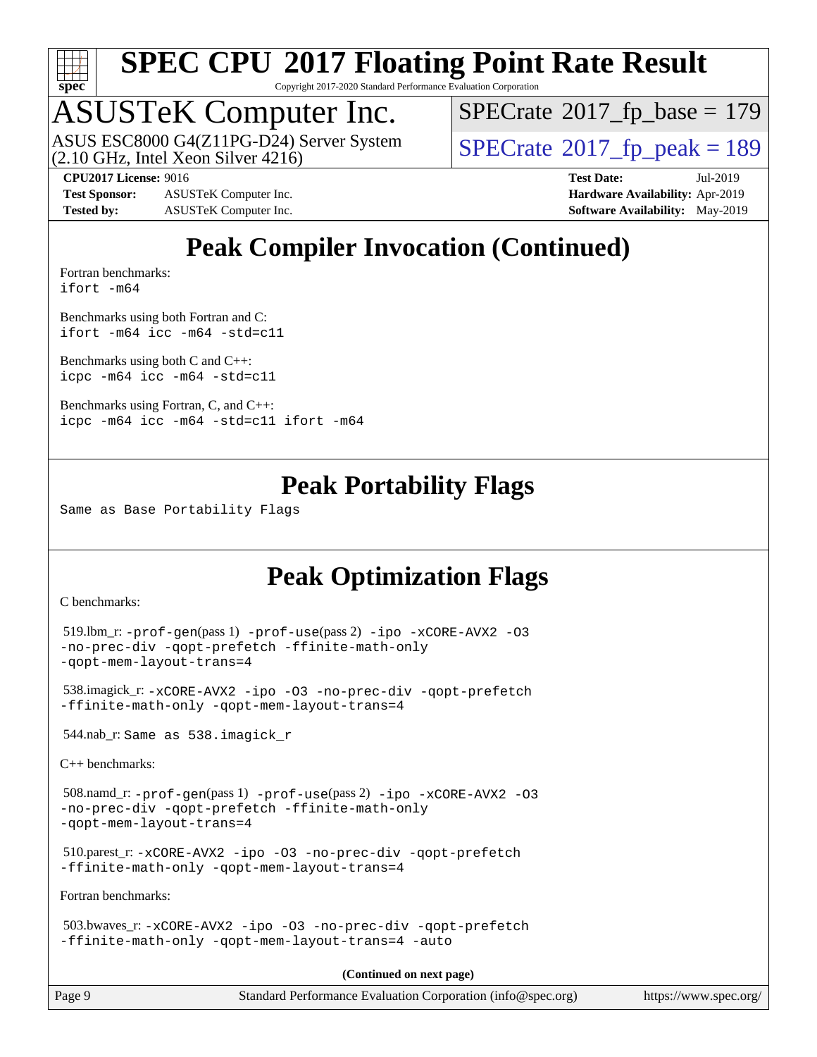

Copyright 2017-2020 Standard Performance Evaluation Corporation

### ASUSTeK Computer Inc.

(2.10 GHz, Intel Xeon Silver 4216) ASUS ESC8000 G4(Z11PG-D24) Server System  $\vert$  [SPECrate](http://www.spec.org/auto/cpu2017/Docs/result-fields.html#SPECrate2017fppeak)®[2017\\_fp\\_peak = 1](http://www.spec.org/auto/cpu2017/Docs/result-fields.html#SPECrate2017fppeak)89

 $SPECTate$ <sup>®</sup>[2017\\_fp\\_base =](http://www.spec.org/auto/cpu2017/Docs/result-fields.html#SPECrate2017fpbase) 179

**[Test Sponsor:](http://www.spec.org/auto/cpu2017/Docs/result-fields.html#TestSponsor)** ASUSTeK Computer Inc. **[Hardware Availability:](http://www.spec.org/auto/cpu2017/Docs/result-fields.html#HardwareAvailability)** Apr-2019 **[Tested by:](http://www.spec.org/auto/cpu2017/Docs/result-fields.html#Testedby)** ASUSTeK Computer Inc. **[Software Availability:](http://www.spec.org/auto/cpu2017/Docs/result-fields.html#SoftwareAvailability)** May-2019

**[CPU2017 License:](http://www.spec.org/auto/cpu2017/Docs/result-fields.html#CPU2017License)** 9016 **[Test Date:](http://www.spec.org/auto/cpu2017/Docs/result-fields.html#TestDate)** Jul-2019

**[Peak Compiler Invocation \(Continued\)](http://www.spec.org/auto/cpu2017/Docs/result-fields.html#PeakCompilerInvocation)**

[Fortran benchmarks](http://www.spec.org/auto/cpu2017/Docs/result-fields.html#Fortranbenchmarks): [ifort -m64](http://www.spec.org/cpu2017/results/res2019q3/cpu2017-20190805-16605.flags.html#user_FCpeak_intel_ifort_64bit_24f2bb282fbaeffd6157abe4f878425411749daecae9a33200eee2bee2fe76f3b89351d69a8130dd5949958ce389cf37ff59a95e7a40d588e8d3a57e0c3fd751)

[Benchmarks using both Fortran and C](http://www.spec.org/auto/cpu2017/Docs/result-fields.html#BenchmarksusingbothFortranandC): [ifort -m64](http://www.spec.org/cpu2017/results/res2019q3/cpu2017-20190805-16605.flags.html#user_CC_FCpeak_intel_ifort_64bit_24f2bb282fbaeffd6157abe4f878425411749daecae9a33200eee2bee2fe76f3b89351d69a8130dd5949958ce389cf37ff59a95e7a40d588e8d3a57e0c3fd751) [icc -m64 -std=c11](http://www.spec.org/cpu2017/results/res2019q3/cpu2017-20190805-16605.flags.html#user_CC_FCpeak_intel_icc_64bit_c11_33ee0cdaae7deeeab2a9725423ba97205ce30f63b9926c2519791662299b76a0318f32ddfffdc46587804de3178b4f9328c46fa7c2b0cd779d7a61945c91cd35)

[Benchmarks using both C and C++](http://www.spec.org/auto/cpu2017/Docs/result-fields.html#BenchmarksusingbothCandCXX): [icpc -m64](http://www.spec.org/cpu2017/results/res2019q3/cpu2017-20190805-16605.flags.html#user_CC_CXXpeak_intel_icpc_64bit_4ecb2543ae3f1412ef961e0650ca070fec7b7afdcd6ed48761b84423119d1bf6bdf5cad15b44d48e7256388bc77273b966e5eb805aefd121eb22e9299b2ec9d9) [icc -m64 -std=c11](http://www.spec.org/cpu2017/results/res2019q3/cpu2017-20190805-16605.flags.html#user_CC_CXXpeak_intel_icc_64bit_c11_33ee0cdaae7deeeab2a9725423ba97205ce30f63b9926c2519791662299b76a0318f32ddfffdc46587804de3178b4f9328c46fa7c2b0cd779d7a61945c91cd35)

[Benchmarks using Fortran, C, and C++:](http://www.spec.org/auto/cpu2017/Docs/result-fields.html#BenchmarksusingFortranCandCXX) [icpc -m64](http://www.spec.org/cpu2017/results/res2019q3/cpu2017-20190805-16605.flags.html#user_CC_CXX_FCpeak_intel_icpc_64bit_4ecb2543ae3f1412ef961e0650ca070fec7b7afdcd6ed48761b84423119d1bf6bdf5cad15b44d48e7256388bc77273b966e5eb805aefd121eb22e9299b2ec9d9) [icc -m64 -std=c11](http://www.spec.org/cpu2017/results/res2019q3/cpu2017-20190805-16605.flags.html#user_CC_CXX_FCpeak_intel_icc_64bit_c11_33ee0cdaae7deeeab2a9725423ba97205ce30f63b9926c2519791662299b76a0318f32ddfffdc46587804de3178b4f9328c46fa7c2b0cd779d7a61945c91cd35) [ifort -m64](http://www.spec.org/cpu2017/results/res2019q3/cpu2017-20190805-16605.flags.html#user_CC_CXX_FCpeak_intel_ifort_64bit_24f2bb282fbaeffd6157abe4f878425411749daecae9a33200eee2bee2fe76f3b89351d69a8130dd5949958ce389cf37ff59a95e7a40d588e8d3a57e0c3fd751)

#### **[Peak Portability Flags](http://www.spec.org/auto/cpu2017/Docs/result-fields.html#PeakPortabilityFlags)**

Same as Base Portability Flags

#### **[Peak Optimization Flags](http://www.spec.org/auto/cpu2017/Docs/result-fields.html#PeakOptimizationFlags)**

[C benchmarks](http://www.spec.org/auto/cpu2017/Docs/result-fields.html#Cbenchmarks):

```
 519.lbm_r: -prof-gen(pass 1) -prof-use(pass 2) -ipo -xCORE-AVX2 -O3
-no-prec-div -qopt-prefetch -ffinite-math-only
-qopt-mem-layout-trans=4
```

```
 538.imagick_r: -xCORE-AVX2 -ipo -O3 -no-prec-div -qopt-prefetch
-ffinite-math-only -qopt-mem-layout-trans=4
```
544.nab\_r: Same as 538.imagick\_r

[C++ benchmarks:](http://www.spec.org/auto/cpu2017/Docs/result-fields.html#CXXbenchmarks)

```
 508.namd_r: -prof-gen(pass 1) -prof-use(pass 2) -ipo -xCORE-AVX2 -O3
-no-prec-div -qopt-prefetch -ffinite-math-only
-qopt-mem-layout-trans=4
```

```
 510.parest_r: -xCORE-AVX2 -ipo -O3 -no-prec-div -qopt-prefetch
-ffinite-math-only -qopt-mem-layout-trans=4
```
[Fortran benchmarks](http://www.spec.org/auto/cpu2017/Docs/result-fields.html#Fortranbenchmarks):

```
 503.bwaves_r: -xCORE-AVX2 -ipo -O3 -no-prec-div -qopt-prefetch
-ffinite-math-only -qopt-mem-layout-trans=4 -auto
```
**(Continued on next page)**